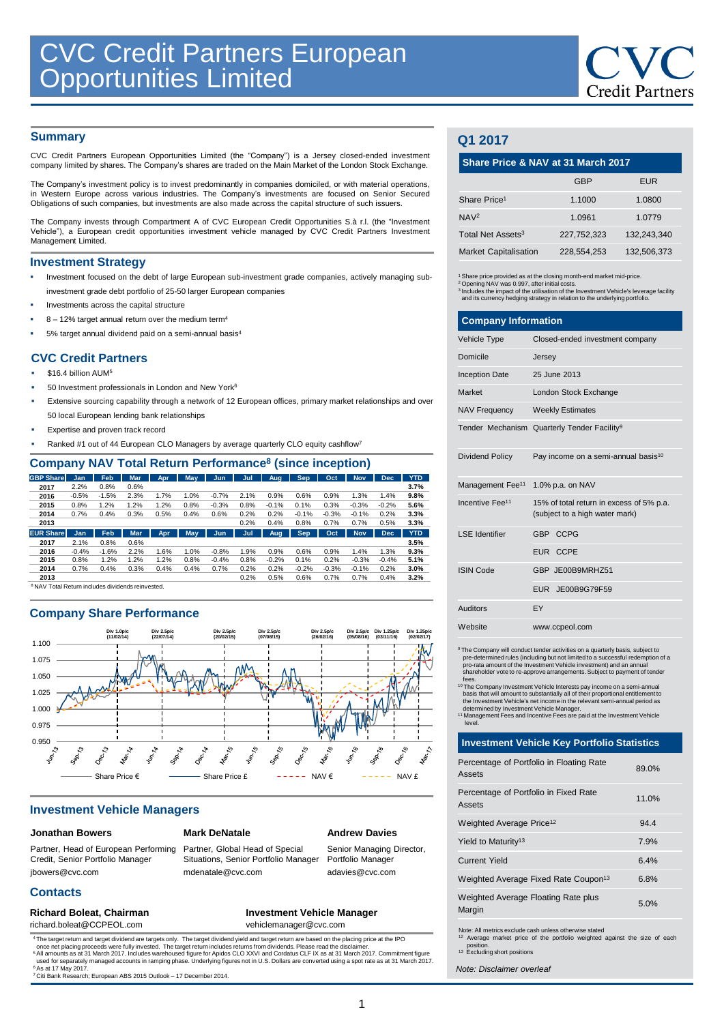# **Summary**

CVC Credit Partners European Opportunities Limited (the "Company") is a Jersey closed-ended investment company limited by shares. The Company's shares are traded on the Main Market of the London Stock Exchange.

The Company's investment policy is to invest predominantly in companies domiciled, or with material operations, in Western Europe across various industries. The Company's investments are focused on Senior Secured Obligations of such companies, but investments are also made across the capital structure of such issuers.

The Company invests through Compartment A of CVC European Credit Opportunities S.à r.l. (the "Investment Vehicle"), a European credit opportunities investment vehicle managed by CVC Credit Partners Investment Management Limited.

# **Investment Strategy**

- Investment focused on the debt of large European sub-investment grade companies, actively managing subinvestment grade debt portfolio of 25-50 larger European companies
- Investments across the capital structure
- 8 12% target annual return over the medium term<sup>4</sup>
- 5% target annual dividend paid on a semi-annual basis<sup>4</sup>

# **CVC Credit Partners**

- \$16.4 billion AUM<sup>5</sup>
- 50 Investment professionals in London and New York<sup>6</sup>
- Extensive sourcing capability through a network of 12 European offices, primary market relationships and over 50 local European lending bank relationships
- Expertise and proven track record
- Ranked #1 out of 44 European CLO Managers by average quarterly CLO equity cashflow<sup>7</sup>

# **Company NAV Total Return Performance<sup>8</sup> (since inception)**

| -------          |         |         |            |            |      |         |      |            |            |         |            |            |            |
|------------------|---------|---------|------------|------------|------|---------|------|------------|------------|---------|------------|------------|------------|
| <b>GBP</b> Share | Jan     | Feb     | <b>Mar</b> | <b>Apr</b> | May  | Jun     | Jul  | Aug.       | Sep        | Oct     | <b>Nov</b> | <b>Dec</b> | <b>YTD</b> |
| 2017             | 2.2%    | 0.8%    | 0.6%       |            |      |         |      |            |            |         |            |            | 3.7%       |
| 2016             | $-0.5%$ | $-1.5%$ | 2.3%       | 1.7%       | 1.0% | $-0.7%$ | 2.1% | 0.9%       | 0.6%       | 0.9%    | 1.3%       | 1.4%       | 9.8%       |
| 2015             | 0.8%    | 1.2%    | 1.2%       | 1.2%       | 0.8% | $-0.3%$ | 0.8% | $-0.1%$    | 0.1%       | 0.3%    | $-0.3%$    | $-0.2%$    | 5.6%       |
| 2014             | 0.7%    | 0.4%    | 0.3%       | 0.5%       | 0.4% | 0.6%    | 0.2% | 0.2%       | $-0.1%$    | $-0.3%$ | $-0.1%$    | 0.2%       | 3.3%       |
| 2013             |         |         |            |            |      |         | 0.2% | 0.4%       | 0.8%       | 0.7%    | 0.7%       | 0.5%       | 3.3%       |
| <b>EUR Share</b> | Jan     | Feb     | <b>Mar</b> | <b>Apr</b> | May  | Jun     | Jul  | <b>Aug</b> | <b>Sep</b> | Oct.    | <b>Nov</b> | <b>Dec</b> | <b>YTD</b> |
| 2017             | 2.1%    | 0.8%    | 0.6%       |            |      |         |      |            |            |         |            |            | 3.5%       |
| 2016             | $-0.4%$ | $-1.6%$ | 2.2%       | 1.6%       | 1.0% | $-0.8%$ | 1.9% | 0.9%       | 0.6%       | 0.9%    | 1.4%       | 1.3%       | 9.3%       |
| 2015             | 0.8%    | 1.2%    | 1.2%       | 1.2%       | 0.8% | $-0.4%$ | 0.8% | $-0.2%$    | 0.1%       | 0.2%    | $-0.3%$    | $-0.4%$    | 5.1%       |
| 2014             | 0.7%    | 0.4%    | 0.3%       | 0.4%       | 0.4% | 0.7%    | 0.2% | 0.2%       | $-0.2%$    | $-0.3%$ | $-0.1%$    | 0.2%       | 3.0%       |
| 2013             |         |         |            |            |      |         | 0.2% | 0.5%       | 0.6%       | 0.7%    | 0.7%       | 0.4%       | 3.2%       |

<sup>8</sup>NAV Total Return includes dividends reinvested.

# **Company Share Performance**



## **Investment Vehicle Managers**

# **Jonathan Bowers**

**Contacts**

# **Mark DeNatale**

Partner, Head of European Performing Credit, Senior Portfolio Manager jbowers@cvc.com

Partner, Global Head of Special Situations, Senior Portfolio Manager mdenatale@cvc.com

**Andrew Davies**

Senior Managing Director, Portfolio Manage adavies@cvc.com

#### Richard Boleat, Chairman **Investment Vehicle Manager** richard.boleat@CCPEOL.com vehiclemanager@cvc.com

<sup>4</sup> The target return and target dividend are targets only. The target dividend yield and target return are based on the placing price at the IPO<br><sup>2</sup> Once net placing proceeds were fully invested. The target return include <sup>6</sup> As at 17 May 2017.<br><sup>7</sup> Citi Bank Research; European ABS 2015 Outlook – 17 December 2014

# **Q1 2017**

## **Share Price & NAV at 31 March 2017**

|                               | <b>GBP</b>  | <b>EUR</b>  |
|-------------------------------|-------------|-------------|
| Share Price <sup>1</sup>      | 1.1000      | 1.0800      |
| NAV <sup>2</sup>              | 1.0961      | 1.0779      |
| Total Net Assets <sup>3</sup> | 227.752.323 | 132,243,340 |
| <b>Market Capitalisation</b>  | 228.554.253 | 132,506,373 |

<sup>1</sup> Share price provided as at the closing month-end market mid-price. <sup>2</sup> Opening NAV was 0.997, after initial costs.

3 Includes the impact of the utilisation of the Investment Vehicle's leverage facility and its currency hedging strategy in relation to the underlying portfolio.

| <b>Company Information</b>   |                                                                            |  |  |  |
|------------------------------|----------------------------------------------------------------------------|--|--|--|
| Vehicle Type                 | Closed-ended investment company                                            |  |  |  |
| Domicile                     | Jersey                                                                     |  |  |  |
| <b>Inception Date</b>        | 25 June 2013                                                               |  |  |  |
| Market                       | London Stock Exchange                                                      |  |  |  |
| <b>NAV Frequency</b>         | <b>Weekly Estimates</b>                                                    |  |  |  |
|                              | Tender Mechanism Quarterly Tender Facility <sup>9</sup>                    |  |  |  |
| Dividend Policy              | Pay income on a semi-annual basis <sup>10</sup>                            |  |  |  |
| Management Fee <sup>11</sup> | 1.0% p.a. on NAV                                                           |  |  |  |
| Incentive Fee <sup>11</sup>  | 15% of total return in excess of 5% p.a.<br>(subject to a high water mark) |  |  |  |
| I SF Identifier              | GBP CCPG                                                                   |  |  |  |
|                              | EUR CCPE                                                                   |  |  |  |
| <b>ISIN Code</b>             | GBP JE00B9MRHZ51                                                           |  |  |  |
|                              | EUR JE00B9G79F59                                                           |  |  |  |
| <b>Auditors</b>              | EY                                                                         |  |  |  |
| Website                      | www.ccpeol.com                                                             |  |  |  |

<sup>9</sup>The Company will conduct tender activities on a quarterly basis, subject to<br>pre-determined rules (including but not limited to a successful redemption of a<br>pro-rata amount of the Investment Vehicle investment) and an an

fees.<br>
The Company Investment Vehicle Interests pay income on a semi-annual<br>
basis that will amount to substantially all of their proportional entitlement to<br>
the Investment Vehicle's net income in the relevant semi-annual

# **Investment Vehicle Key Portfolio Statistics**

| Percentage of Portfolio in Floating Rate<br>Assets | 89.0% |
|----------------------------------------------------|-------|
| Percentage of Portfolio in Fixed Rate<br>Assets    | 11.0% |
| Weighted Average Price <sup>12</sup>               | 94.4  |
| Yield to Maturity <sup>13</sup>                    | 7.9%  |
| Current Yield                                      | 6.4%  |
| Weighted Average Fixed Rate Coupon <sup>13</sup>   | 6.8%  |
| Weighted Average Floating Rate plus<br>Margin      | 5.0%  |
|                                                    |       |

Note: All metrics exclude cash unless otherwise stated <sup>12</sup> Average market price of the portfolio weighted against the size of each

position. <sup>13</sup> Excluding short positions

*Note: Disclaimer overleaf*